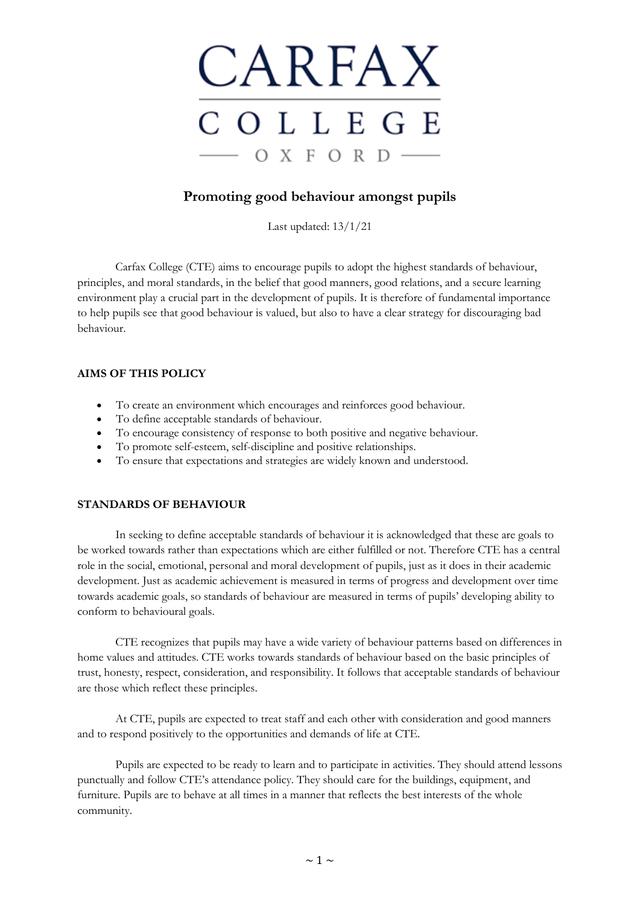

# **Promoting good behaviour amongst pupils**

Last updated: 13/1/21

Carfax College (CTE) aims to encourage pupils to adopt the highest standards of behaviour, principles, and moral standards, in the belief that good manners, good relations, and a secure learning environment play a crucial part in the development of pupils. It is therefore of fundamental importance to help pupils see that good behaviour is valued, but also to have a clear strategy for discouraging bad behaviour.

# **AIMS OF THIS POLICY**

- To create an environment which encourages and reinforces good behaviour.
- To define acceptable standards of behaviour.
- To encourage consistency of response to both positive and negative behaviour.
- To promote self-esteem, self-discipline and positive relationships.
- To ensure that expectations and strategies are widely known and understood.

# **STANDARDS OF BEHAVIOUR**

In seeking to define acceptable standards of behaviour it is acknowledged that these are goals to be worked towards rather than expectations which are either fulfilled or not. Therefore CTE has a central role in the social, emotional, personal and moral development of pupils, just as it does in their academic development. Just as academic achievement is measured in terms of progress and development over time towards academic goals, so standards of behaviour are measured in terms of pupils' developing ability to conform to behavioural goals.

CTE recognizes that pupils may have a wide variety of behaviour patterns based on differences in home values and attitudes. CTE works towards standards of behaviour based on the basic principles of trust, honesty, respect, consideration, and responsibility. It follows that acceptable standards of behaviour are those which reflect these principles.

At CTE, pupils are expected to treat staff and each other with consideration and good manners and to respond positively to the opportunities and demands of life at CTE.

Pupils are expected to be ready to learn and to participate in activities. They should attend lessons punctually and follow CTE's attendance policy. They should care for the buildings, equipment, and furniture. Pupils are to behave at all times in a manner that reflects the best interests of the whole community.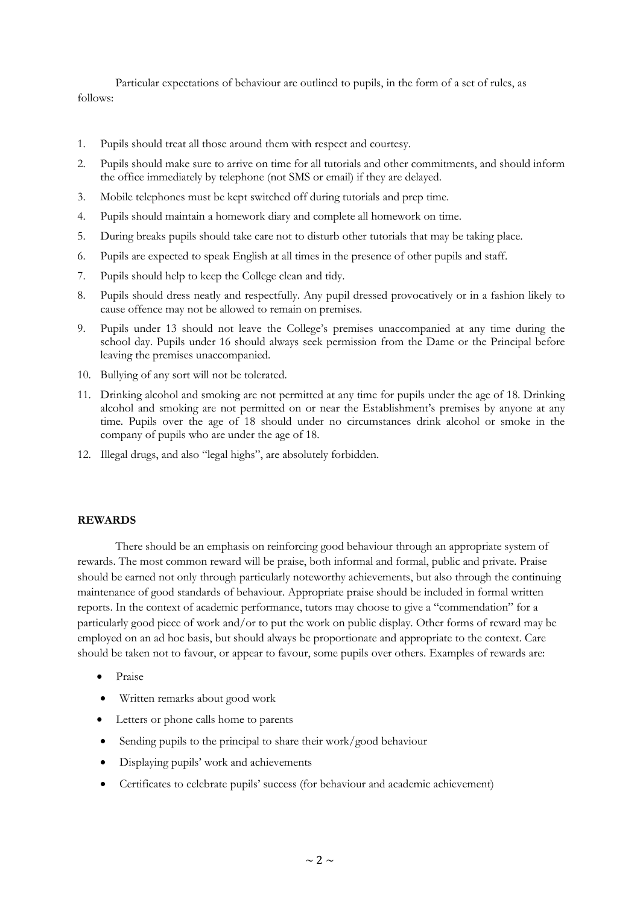Particular expectations of behaviour are outlined to pupils, in the form of a set of rules, as follows:

- 1. Pupils should treat all those around them with respect and courtesy.
- 2. Pupils should make sure to arrive on time for all tutorials and other commitments, and should inform the office immediately by telephone (not SMS or email) if they are delayed.
- 3. Mobile telephones must be kept switched off during tutorials and prep time.
- 4. Pupils should maintain a homework diary and complete all homework on time.
- 5. During breaks pupils should take care not to disturb other tutorials that may be taking place.
- 6. Pupils are expected to speak English at all times in the presence of other pupils and staff.
- 7. Pupils should help to keep the College clean and tidy.
- 8. Pupils should dress neatly and respectfully. Any pupil dressed provocatively or in a fashion likely to cause offence may not be allowed to remain on premises.
- 9. Pupils under 13 should not leave the College's premises unaccompanied at any time during the school day. Pupils under 16 should always seek permission from the Dame or the Principal before leaving the premises unaccompanied.
- 10. Bullying of any sort will not be tolerated.
- 11. Drinking alcohol and smoking are not permitted at any time for pupils under the age of 18. Drinking alcohol and smoking are not permitted on or near the Establishment's premises by anyone at any time. Pupils over the age of 18 should under no circumstances drink alcohol or smoke in the company of pupils who are under the age of 18.
- 12. Illegal drugs, and also "legal highs", are absolutely forbidden.

#### **REWARDS**

There should be an emphasis on reinforcing good behaviour through an appropriate system of rewards. The most common reward will be praise, both informal and formal, public and private. Praise should be earned not only through particularly noteworthy achievements, but also through the continuing maintenance of good standards of behaviour. Appropriate praise should be included in formal written reports. In the context of academic performance, tutors may choose to give a "commendation" for a particularly good piece of work and/or to put the work on public display. Other forms of reward may be employed on an ad hoc basis, but should always be proportionate and appropriate to the context. Care should be taken not to favour, or appear to favour, some pupils over others. Examples of rewards are:

- Praise
- Written remarks about good work
- Letters or phone calls home to parents
- Sending pupils to the principal to share their work/good behaviour
- Displaying pupils' work and achievements
- Certificates to celebrate pupils' success (for behaviour and academic achievement)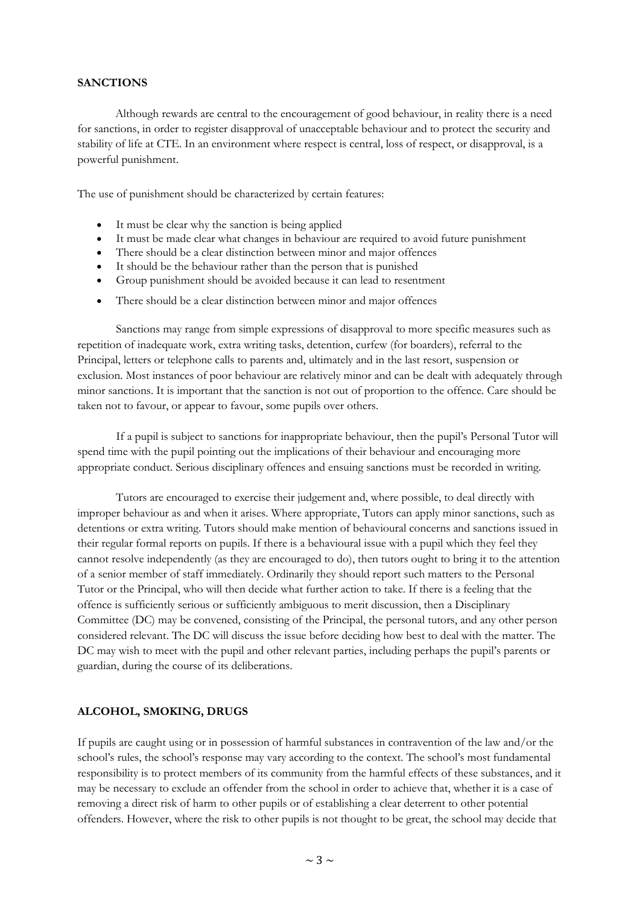### **SANCTIONS**

Although rewards are central to the encouragement of good behaviour, in reality there is a need for sanctions, in order to register disapproval of unacceptable behaviour and to protect the security and stability of life at CTE. In an environment where respect is central, loss of respect, or disapproval, is a powerful punishment.

The use of punishment should be characterized by certain features:

- It must be clear why the sanction is being applied
- It must be made clear what changes in behaviour are required to avoid future punishment
- There should be a clear distinction between minor and major offences
- It should be the behaviour rather than the person that is punished
- Group punishment should be avoided because it can lead to resentment
- There should be a clear distinction between minor and major offences

Sanctions may range from simple expressions of disapproval to more specific measures such as repetition of inadequate work, extra writing tasks, detention, curfew (for boarders), referral to the Principal, letters or telephone calls to parents and, ultimately and in the last resort, suspension or exclusion. Most instances of poor behaviour are relatively minor and can be dealt with adequately through minor sanctions. It is important that the sanction is not out of proportion to the offence. Care should be taken not to favour, or appear to favour, some pupils over others.

If a pupil is subject to sanctions for inappropriate behaviour, then the pupil's Personal Tutor will spend time with the pupil pointing out the implications of their behaviour and encouraging more appropriate conduct. Serious disciplinary offences and ensuing sanctions must be recorded in writing.

Tutors are encouraged to exercise their judgement and, where possible, to deal directly with improper behaviour as and when it arises. Where appropriate, Tutors can apply minor sanctions, such as detentions or extra writing. Tutors should make mention of behavioural concerns and sanctions issued in their regular formal reports on pupils. If there is a behavioural issue with a pupil which they feel they cannot resolve independently (as they are encouraged to do), then tutors ought to bring it to the attention of a senior member of staff immediately. Ordinarily they should report such matters to the Personal Tutor or the Principal, who will then decide what further action to take. If there is a feeling that the offence is sufficiently serious or sufficiently ambiguous to merit discussion, then a Disciplinary Committee (DC) may be convened, consisting of the Principal, the personal tutors, and any other person considered relevant. The DC will discuss the issue before deciding how best to deal with the matter. The DC may wish to meet with the pupil and other relevant parties, including perhaps the pupil's parents or guardian, during the course of its deliberations.

#### **ALCOHOL, SMOKING, DRUGS**

If pupils are caught using or in possession of harmful substances in contravention of the law and/or the school's rules, the school's response may vary according to the context. The school's most fundamental responsibility is to protect members of its community from the harmful effects of these substances, and it may be necessary to exclude an offender from the school in order to achieve that, whether it is a case of removing a direct risk of harm to other pupils or of establishing a clear deterrent to other potential offenders. However, where the risk to other pupils is not thought to be great, the school may decide that